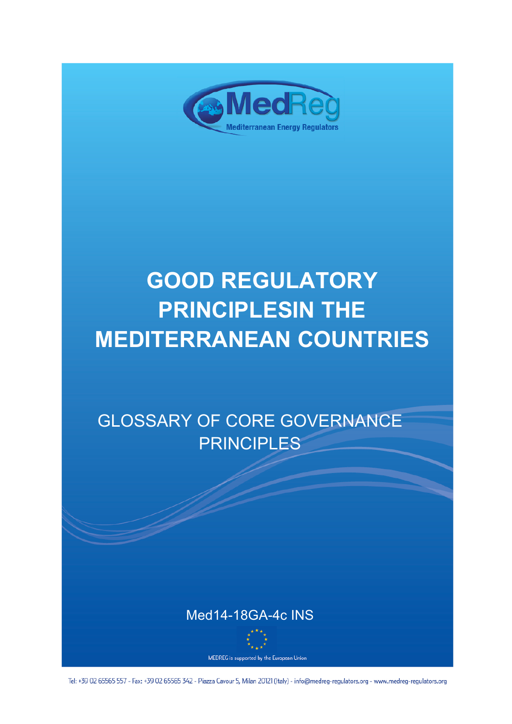

# **GOOD REGULATORY PRINCIPLESIN THE MEDITERRANEAN COUNTRIES**

## GLOSSARY OF CORE GOVERNANCE PRINCIPLES



MEDREG is supported by the European Union

Tel: +39 02 65565 557 - Fax: +39 02 65565 342 - Piazza Cavour 5, Milan 20121 (Italy) - info@medreg-regulators.org - www.medreg-regulators.org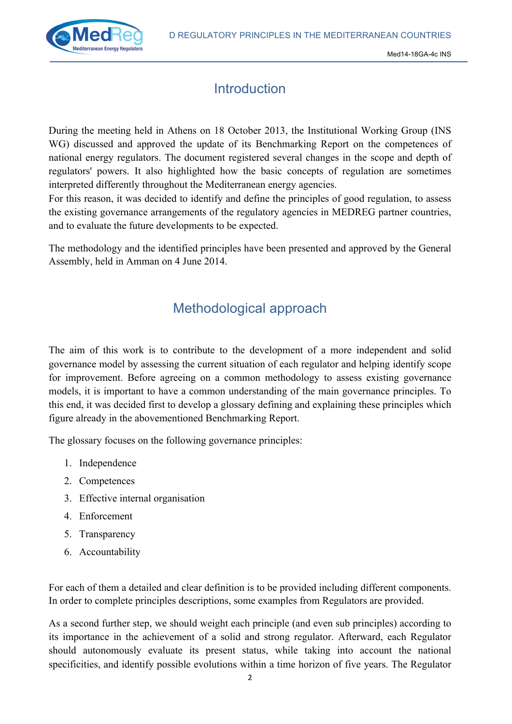

## **Introduction**

During the meeting held in Athens on 18 October 2013, the Institutional Working Group (INS WG) discussed and approved the update of its Benchmarking Report on the competences of national energy regulators. The document registered several changes in the scope and depth of regulators' powers. It also highlighted how the basic concepts of regulation are sometimes interpreted differently throughout the Mediterranean energy agencies.

For this reason, it was decided to identify and define the principles of good regulation, to assess the existing governance arrangements of the regulatory agencies in MEDREG partner countries, and to evaluate the future developments to be expected.

The methodology and the identified principles have been presented and approved by the General Assembly, held in Amman on 4 June 2014.

## Methodological approach

The aim of this work is to contribute to the development of a more independent and solid governance model by assessing the current situation of each regulator and helping identify scope for improvement. Before agreeing on a common methodology to assess existing governance models, it is important to have a common understanding of the main governance principles. To this end, it was decided first to develop a glossary defining and explaining these principles which figure already in the abovementioned Benchmarking Report.

The glossary focuses on the following governance principles:

- 1. Independence
- 2. Competences
- 3. Effective internal organisation
- 4. Enforcement
- 5. Transparency
- 6. Accountability

For each of them a detailed and clear definition is to be provided including different components. In order to complete principles descriptions, some examples from Regulators are provided.

As a second further step, we should weight each principle (and even sub principles) according to its importance in the achievement of a solid and strong regulator. Afterward, each Regulator should autonomously evaluate its present status, while taking into account the national specificities, and identify possible evolutions within a time horizon of five years. The Regulator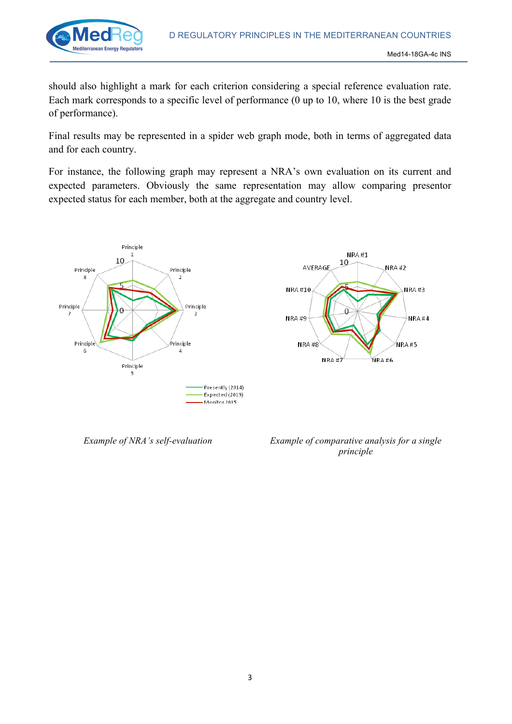

should also highlight a mark for each criterion considering a special reference evaluation rate. Each mark corresponds to a specific level of performance (0 up to 10, where 10 is the best grade of performance).

Final results may be represented in a spider web graph mode, both in terms of aggregated data and for each country.

For instance, the following graph may represent a NRA's own evaluation on its current and expected parameters. Obviously the same representation may allow comparing presentor expected status for each member, both at the aggregate and country level.





*Example of NRA's self-evaluation Example of comparative analysis for a single principle*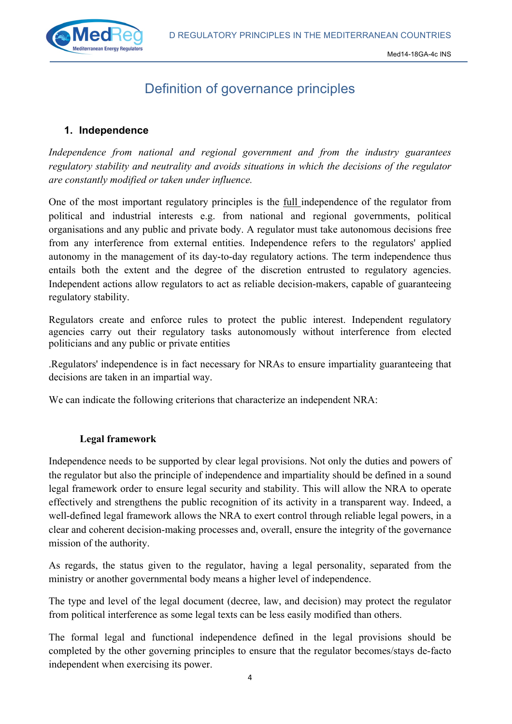

## Definition of governance principles

#### **1. Independence**

*Independence from national and regional government and from the industry guarantees regulatory stability and neutrality and avoids situations in which the decisions of the regulator are constantly modified or taken under influence.*

One of the most important regulatory principles is the full independence of the regulator from political and industrial interests e.g. from national and regional governments, political organisations and any public and private body. A regulator must take autonomous decisions free from any interference from external entities. Independence refers to the regulators' applied autonomy in the management of its day-to-day regulatory actions. The term independence thus entails both the extent and the degree of the discretion entrusted to regulatory agencies. Independent actions allow regulators to act as reliable decision-makers, capable of guaranteeing regulatory stability.

Regulators create and enforce rules to protect the public interest. Independent regulatory agencies carry out their regulatory tasks autonomously without interference from elected politicians and any public or private entities

.Regulators' independence is in fact necessary for NRAs to ensure impartiality guaranteeing that decisions are taken in an impartial way.

We can indicate the following criterions that characterize an independent NRA:

#### **Legal framework**

Independence needs to be supported by clear legal provisions. Not only the duties and powers of the regulator but also the principle of independence and impartiality should be defined in a sound legal framework order to ensure legal security and stability. This will allow the NRA to operate effectively and strengthens the public recognition of its activity in a transparent way. Indeed, a well-defined legal framework allows the NRA to exert control through reliable legal powers, in a clear and coherent decision-making processes and, overall, ensure the integrity of the governance mission of the authority.

As regards, the status given to the regulator, having a legal personality, separated from the ministry or another governmental body means a higher level of independence.

The type and level of the legal document (decree, law, and decision) may protect the regulator from political interference as some legal texts can be less easily modified than others.

The formal legal and functional independence defined in the legal provisions should be completed by the other governing principles to ensure that the regulator becomes/stays de-facto independent when exercising its power.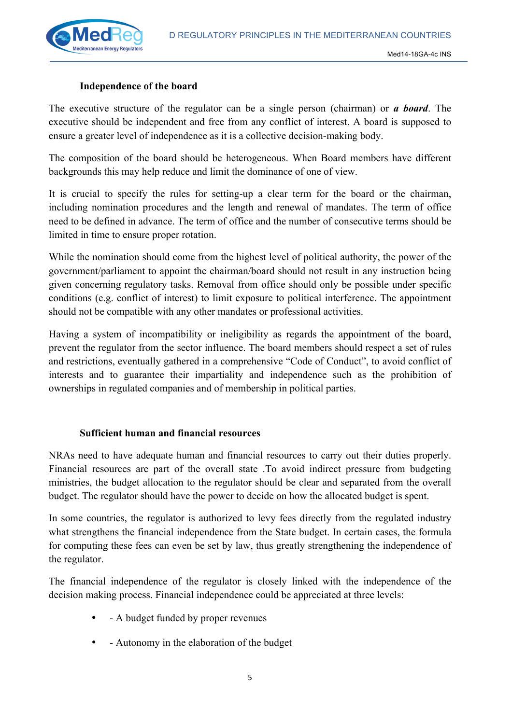

#### **Independence of the board**

The executive structure of the regulator can be a single person (chairman) or *a board*. The executive should be independent and free from any conflict of interest. A board is supposed to ensure a greater level of independence as it is a collective decision-making body.

The composition of the board should be heterogeneous. When Board members have different backgrounds this may help reduce and limit the dominance of one of view.

It is crucial to specify the rules for setting-up a clear term for the board or the chairman, including nomination procedures and the length and renewal of mandates. The term of office need to be defined in advance. The term of office and the number of consecutive terms should be limited in time to ensure proper rotation.

While the nomination should come from the highest level of political authority, the power of the government/parliament to appoint the chairman/board should not result in any instruction being given concerning regulatory tasks. Removal from office should only be possible under specific conditions (e.g. conflict of interest) to limit exposure to political interference. The appointment should not be compatible with any other mandates or professional activities.

Having a system of incompatibility or ineligibility as regards the appointment of the board, prevent the regulator from the sector influence. The board members should respect a set of rules and restrictions, eventually gathered in a comprehensive "Code of Conduct", to avoid conflict of interests and to guarantee their impartiality and independence such as the prohibition of ownerships in regulated companies and of membership in political parties.

#### **Sufficient human and financial resources**

NRAs need to have adequate human and financial resources to carry out their duties properly. Financial resources are part of the overall state .To avoid indirect pressure from budgeting ministries, the budget allocation to the regulator should be clear and separated from the overall budget. The regulator should have the power to decide on how the allocated budget is spent.

In some countries, the regulator is authorized to levy fees directly from the regulated industry what strengthens the financial independence from the State budget. In certain cases, the formula for computing these fees can even be set by law, thus greatly strengthening the independence of the regulator.

The financial independence of the regulator is closely linked with the independence of the decision making process. Financial independence could be appreciated at three levels:

- - A budget funded by proper revenues
- - Autonomy in the elaboration of the budget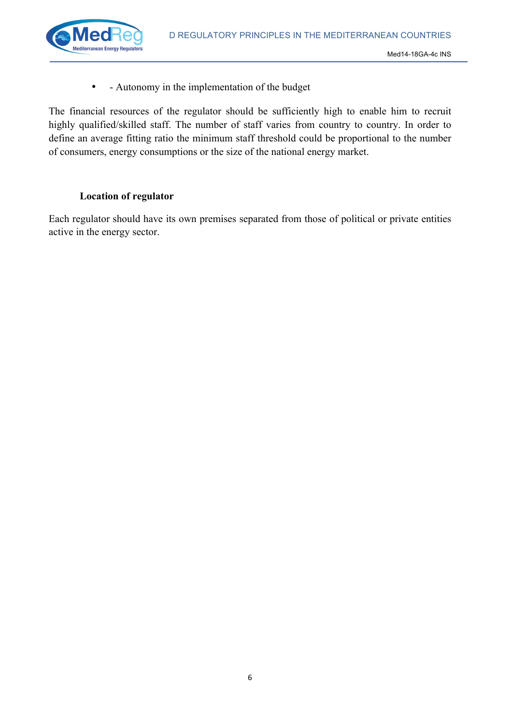

• - Autonomy in the implementation of the budget

The financial resources of the regulator should be sufficiently high to enable him to recruit highly qualified/skilled staff. The number of staff varies from country to country. In order to define an average fitting ratio the minimum staff threshold could be proportional to the number of consumers, energy consumptions or the size of the national energy market.

#### **Location of regulator**

Each regulator should have its own premises separated from those of political or private entities active in the energy sector.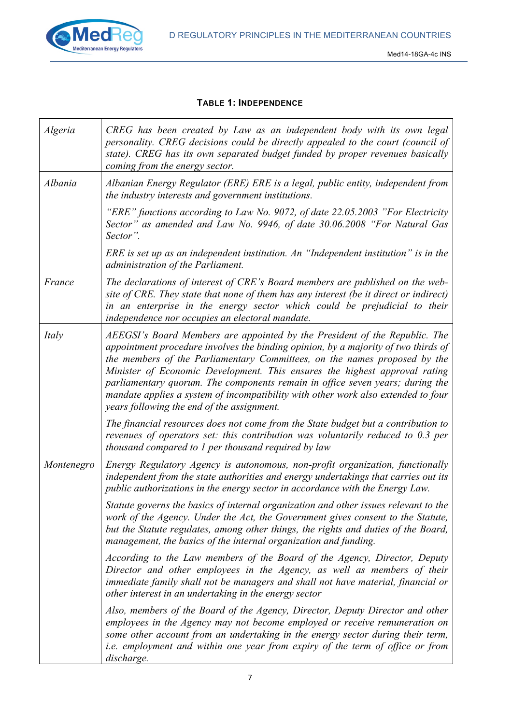

#### **TABLE 1: INDEPENDENCE**

| Algeria    | CREG has been created by Law as an independent body with its own legal<br>personality. CREG decisions could be directly appealed to the court (council of<br>state). CREG has its own separated budget funded by proper revenues basically<br>coming from the energy sector.                                                                                                                                                                                                                                                                    |
|------------|-------------------------------------------------------------------------------------------------------------------------------------------------------------------------------------------------------------------------------------------------------------------------------------------------------------------------------------------------------------------------------------------------------------------------------------------------------------------------------------------------------------------------------------------------|
| Albania    | Albanian Energy Regulator (ERE) ERE is a legal, public entity, independent from<br>the industry interests and government institutions.                                                                                                                                                                                                                                                                                                                                                                                                          |
|            | "ERE" functions according to Law No. 9072, of date 22.05.2003 "For Electricity"<br>Sector" as amended and Law No. 9946, of date 30.06.2008 "For Natural Gas<br>Sector".                                                                                                                                                                                                                                                                                                                                                                         |
|            | ERE is set up as an independent institution. An "Independent institution" is in the<br>administration of the Parliament.                                                                                                                                                                                                                                                                                                                                                                                                                        |
| France     | The declarations of interest of CRE's Board members are published on the web-<br>site of CRE. They state that none of them has any interest (be it direct or indirect)<br>in an enterprise in the energy sector which could be prejudicial to their<br>independence nor occupies an electoral mandate.                                                                                                                                                                                                                                          |
| Italy      | AEEGSI's Board Members are appointed by the President of the Republic. The<br>appointment procedure involves the binding opinion, by a majority of two thirds of<br>the members of the Parliamentary Committees, on the names proposed by the<br>Minister of Economic Development. This ensures the highest approval rating<br>parliamentary quorum. The components remain in office seven years; during the<br>mandate applies a system of incompatibility with other work also extended to four<br>years following the end of the assignment. |
|            | The financial resources does not come from the State budget but a contribution to<br>revenues of operators set: this contribution was voluntarily reduced to 0.3 per<br>thousand compared to 1 per thousand required by law                                                                                                                                                                                                                                                                                                                     |
| Montenegro | Energy Regulatory Agency is autonomous, non-profit organization, functionally<br>independent from the state authorities and energy undertakings that carries out its<br>public authorizations in the energy sector in accordance with the Energy Law.                                                                                                                                                                                                                                                                                           |
|            | Statute governs the basics of internal organization and other issues relevant to the<br>work of the Agency. Under the Act, the Government gives consent to the Statute,<br>but the Statute regulates, among other things, the rights and duties of the Board,<br>management, the basics of the internal organization and funding.                                                                                                                                                                                                               |
|            | According to the Law members of the Board of the Agency, Director, Deputy<br>Director and other employees in the Agency, as well as members of their<br>immediate family shall not be managers and shall not have material, financial or<br>other interest in an undertaking in the energy sector                                                                                                                                                                                                                                               |
|            | Also, members of the Board of the Agency, Director, Deputy Director and other<br>employees in the Agency may not become employed or receive remuneration on<br>some other account from an undertaking in the energy sector during their term,<br><i>i.e.</i> employment and within one year from expiry of the term of office or from<br>discharge.                                                                                                                                                                                             |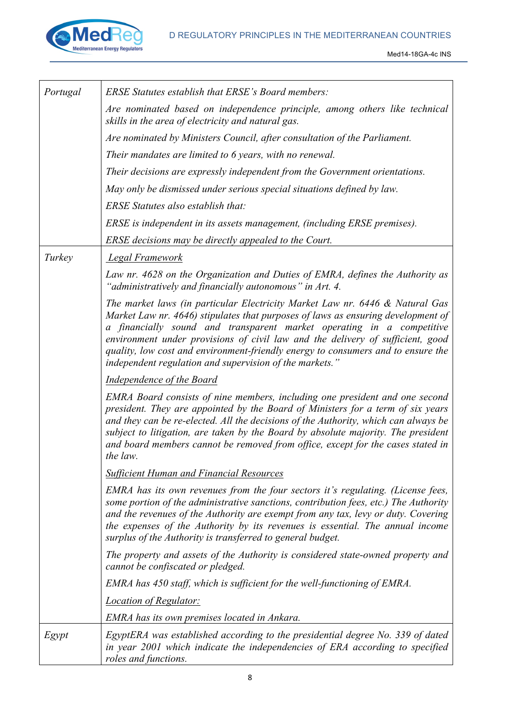

| Portugal | <b>ERSE Statutes establish that ERSE's Board members:</b>                                                                                                                                                                                                                                                                                                                                                                                                                  |
|----------|----------------------------------------------------------------------------------------------------------------------------------------------------------------------------------------------------------------------------------------------------------------------------------------------------------------------------------------------------------------------------------------------------------------------------------------------------------------------------|
|          | Are nominated based on independence principle, among others like technical<br>skills in the area of electricity and natural gas.                                                                                                                                                                                                                                                                                                                                           |
|          | Are nominated by Ministers Council, after consultation of the Parliament.                                                                                                                                                                                                                                                                                                                                                                                                  |
|          | Their mandates are limited to 6 years, with no renewal.                                                                                                                                                                                                                                                                                                                                                                                                                    |
|          | Their decisions are expressly independent from the Government orientations.                                                                                                                                                                                                                                                                                                                                                                                                |
|          | May only be dismissed under serious special situations defined by law.                                                                                                                                                                                                                                                                                                                                                                                                     |
|          | ERSE Statutes also establish that:                                                                                                                                                                                                                                                                                                                                                                                                                                         |
|          | ERSE is independent in its assets management, (including ERSE premises).                                                                                                                                                                                                                                                                                                                                                                                                   |
|          | ERSE decisions may be directly appealed to the Court.                                                                                                                                                                                                                                                                                                                                                                                                                      |
| Turkey   | Legal Framework                                                                                                                                                                                                                                                                                                                                                                                                                                                            |
|          | Law nr. 4628 on the Organization and Duties of EMRA, defines the Authority as<br>"administratively and financially autonomous" in Art. 4.                                                                                                                                                                                                                                                                                                                                  |
|          | The market laws (in particular Electricity Market Law nr. 6446 & Natural Gas<br>Market Law nr. 4646) stipulates that purposes of laws as ensuring development of<br>a financially sound and transparent market operating in a competitive<br>environment under provisions of civil law and the delivery of sufficient, good<br>quality, low cost and environment-friendly energy to consumers and to ensure the<br>independent regulation and supervision of the markets." |
|          | Independence of the Board                                                                                                                                                                                                                                                                                                                                                                                                                                                  |
|          | EMRA Board consists of nine members, including one president and one second<br>president. They are appointed by the Board of Ministers for a term of six years<br>and they can be re-elected. All the decisions of the Authority, which can always be<br>subject to litigation, are taken by the Board by absolute majority. The president<br>and board members cannot be removed from office, except for the cases stated in<br>the law.                                  |
|          | <b>Sufficient Human and Financial Resources</b>                                                                                                                                                                                                                                                                                                                                                                                                                            |
|          | EMRA has its own revenues from the four sectors it's regulating. (License fees,<br>some portion of the administrative sanctions, contribution fees, etc.) The Authority<br>and the revenues of the Authority are exempt from any tax, levy or duty. Covering<br>the expenses of the Authority by its revenues is essential. The annual income<br>surplus of the Authority is transferred to general budget.                                                                |
|          | The property and assets of the Authority is considered state-owned property and<br>cannot be confiscated or pledged.                                                                                                                                                                                                                                                                                                                                                       |
|          | EMRA has 450 staff, which is sufficient for the well-functioning of EMRA.                                                                                                                                                                                                                                                                                                                                                                                                  |
|          | <b>Location of Regulator:</b>                                                                                                                                                                                                                                                                                                                                                                                                                                              |
|          | EMRA has its own premises located in Ankara.                                                                                                                                                                                                                                                                                                                                                                                                                               |
| Egypt    | EgyptERA was established according to the presidential degree No. 339 of dated<br>in year 2001 which indicate the independencies of ERA according to specified<br>roles and functions.                                                                                                                                                                                                                                                                                     |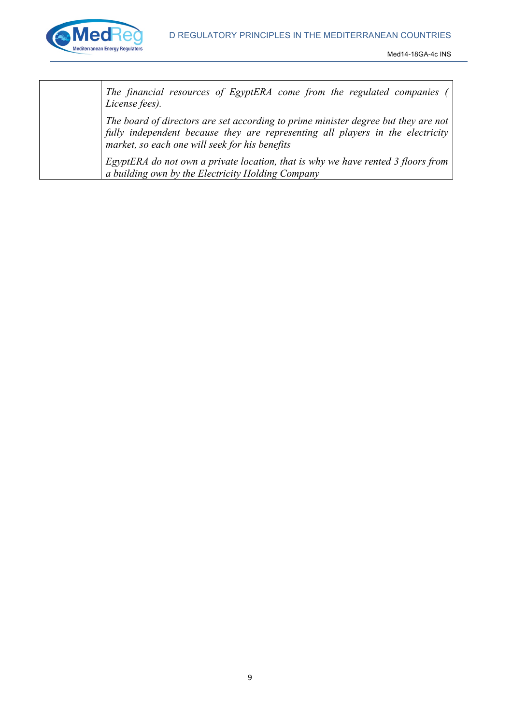

*The financial resources of EgyptERA come from the regulated companies ( License fees).*

*The board of directors are set according to prime minister degree but they are not fully independent because they are representing all players in the electricity market, so each one will seek for his benefits*

*EgyptERA do not own a private location, that is why we have rented 3 floors from a building own by the Electricity Holding Company*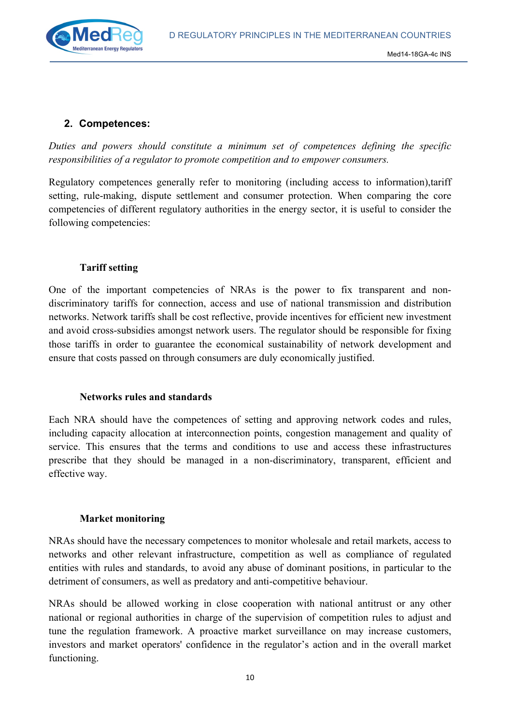

#### **2. Competences:**

*Duties and powers should constitute a minimum set of competences defining the specific responsibilities of a regulator to promote competition and to empower consumers.*

Regulatory competences generally refer to monitoring (including access to information),tariff setting, rule-making, dispute settlement and consumer protection. When comparing the core competencies of different regulatory authorities in the energy sector, it is useful to consider the following competencies:

#### **Tariff setting**

One of the important competencies of NRAs is the power to fix transparent and nondiscriminatory tariffs for connection, access and use of national transmission and distribution networks. Network tariffs shall be cost reflective, provide incentives for efficient new investment and avoid cross-subsidies amongst network users. The regulator should be responsible for fixing those tariffs in order to guarantee the economical sustainability of network development and ensure that costs passed on through consumers are duly economically justified.

#### **Networks rules and standards**

Each NRA should have the competences of setting and approving network codes and rules, including capacity allocation at interconnection points, congestion management and quality of service. This ensures that the terms and conditions to use and access these infrastructures prescribe that they should be managed in a non-discriminatory, transparent, efficient and effective way.

#### **Market monitoring**

NRAs should have the necessary competences to monitor wholesale and retail markets, access to networks and other relevant infrastructure, competition as well as compliance of regulated entities with rules and standards, to avoid any abuse of dominant positions, in particular to the detriment of consumers, as well as predatory and anti-competitive behaviour.

NRAs should be allowed working in close cooperation with national antitrust or any other national or regional authorities in charge of the supervision of competition rules to adjust and tune the regulation framework. A proactive market surveillance on may increase customers, investors and market operators' confidence in the regulator's action and in the overall market functioning.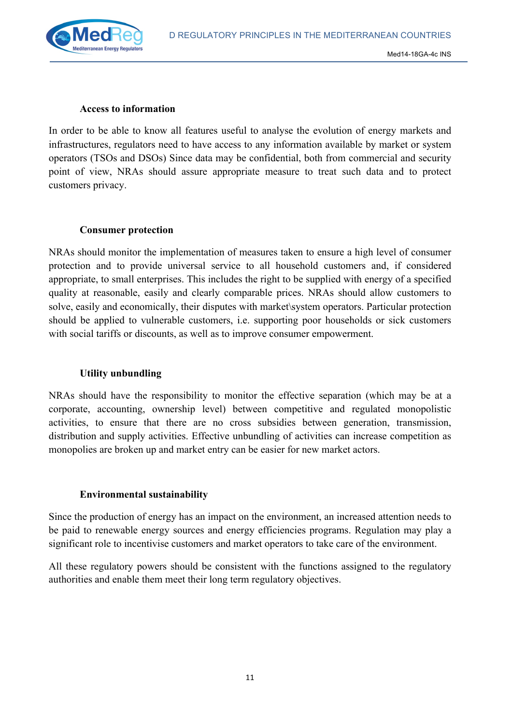

#### **Access to information**

In order to be able to know all features useful to analyse the evolution of energy markets and infrastructures, regulators need to have access to any information available by market or system operators (TSOs and DSOs) Since data may be confidential, both from commercial and security point of view, NRAs should assure appropriate measure to treat such data and to protect customers privacy.

#### **Consumer protection**

NRAs should monitor the implementation of measures taken to ensure a high level of consumer protection and to provide universal service to all household customers and, if considered appropriate, to small enterprises. This includes the right to be supplied with energy of a specified quality at reasonable, easily and clearly comparable prices. NRAs should allow customers to solve, easily and economically, their disputes with market\system operators. Particular protection should be applied to vulnerable customers, i.e. supporting poor households or sick customers with social tariffs or discounts, as well as to improve consumer empowerment.

#### **Utility unbundling**

NRAs should have the responsibility to monitor the effective separation (which may be at a corporate, accounting, ownership level) between competitive and regulated monopolistic activities, to ensure that there are no cross subsidies between generation, transmission, distribution and supply activities. Effective unbundling of activities can increase competition as monopolies are broken up and market entry can be easier for new market actors.

#### **Environmental sustainability**

Since the production of energy has an impact on the environment, an increased attention needs to be paid to renewable energy sources and energy efficiencies programs. Regulation may play a significant role to incentivise customers and market operators to take care of the environment.

All these regulatory powers should be consistent with the functions assigned to the regulatory authorities and enable them meet their long term regulatory objectives.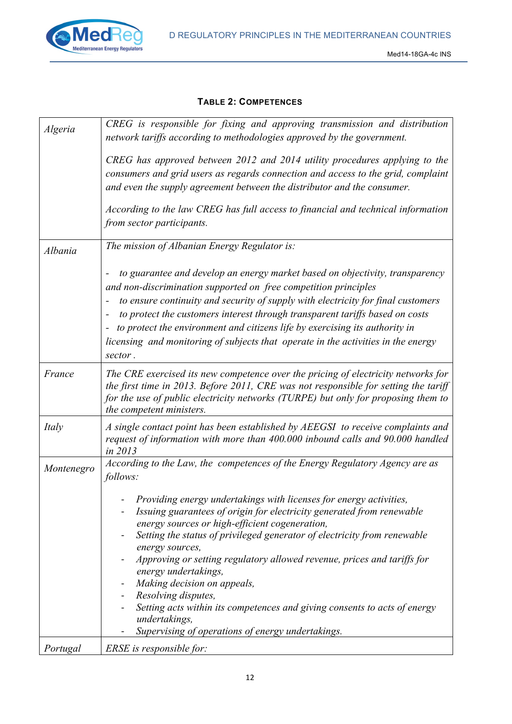

#### **TABLE 2: COMPETENCES**

| Algeria    | CREG is responsible for fixing and approving transmission and distribution<br>network tariffs according to methodologies approved by the government.                                                                                                                                                                                                                                                                                                                                                                                                                                                                       |
|------------|----------------------------------------------------------------------------------------------------------------------------------------------------------------------------------------------------------------------------------------------------------------------------------------------------------------------------------------------------------------------------------------------------------------------------------------------------------------------------------------------------------------------------------------------------------------------------------------------------------------------------|
|            | CREG has approved between 2012 and 2014 utility procedures applying to the<br>consumers and grid users as regards connection and access to the grid, complaint<br>and even the supply agreement between the distributor and the consumer.                                                                                                                                                                                                                                                                                                                                                                                  |
|            | According to the law CREG has full access to financial and technical information<br>from sector participants.                                                                                                                                                                                                                                                                                                                                                                                                                                                                                                              |
| Albania    | The mission of Albanian Energy Regulator is:                                                                                                                                                                                                                                                                                                                                                                                                                                                                                                                                                                               |
|            | to guarantee and develop an energy market based on objectivity, transparency<br>and non-discrimination supported on free competition principles<br>to ensure continuity and security of supply with electricity for final customers<br>-<br>to protect the customers interest through transparent tariffs based on costs<br>to protect the environment and citizens life by exercising its authority in<br>-<br>licensing and monitoring of subjects that operate in the activities in the energy<br>sector.                                                                                                               |
| France     | The CRE exercised its new competence over the pricing of electricity networks for<br>the first time in 2013. Before 2011, CRE was not responsible for setting the tariff<br>for the use of public electricity networks (TURPE) but only for proposing them to<br>the competent ministers.                                                                                                                                                                                                                                                                                                                                  |
| Italy      | A single contact point has been established by AEEGSI to receive complaints and<br>request of information with more than 400.000 inbound calls and 90.000 handled<br>in 2013                                                                                                                                                                                                                                                                                                                                                                                                                                               |
| Montenegro | According to the Law, the competences of the Energy Regulatory Agency are as<br>follows:                                                                                                                                                                                                                                                                                                                                                                                                                                                                                                                                   |
|            | Providing energy undertakings with licenses for energy activities,<br>Issuing guarantees of origin for electricity generated from renewable<br>energy sources or high-efficient cogeneration,<br>Setting the status of privileged generator of electricity from renewable<br>energy sources,<br>Approving or setting regulatory allowed revenue, prices and tariffs for<br>energy undertakings,<br>Making decision on appeals,<br>Resolving disputes,<br>$\blacksquare$<br>Setting acts within its competences and giving consents to acts of energy<br>undertakings,<br>Supervising of operations of energy undertakings. |
| Portugal   | ERSE is responsible for:                                                                                                                                                                                                                                                                                                                                                                                                                                                                                                                                                                                                   |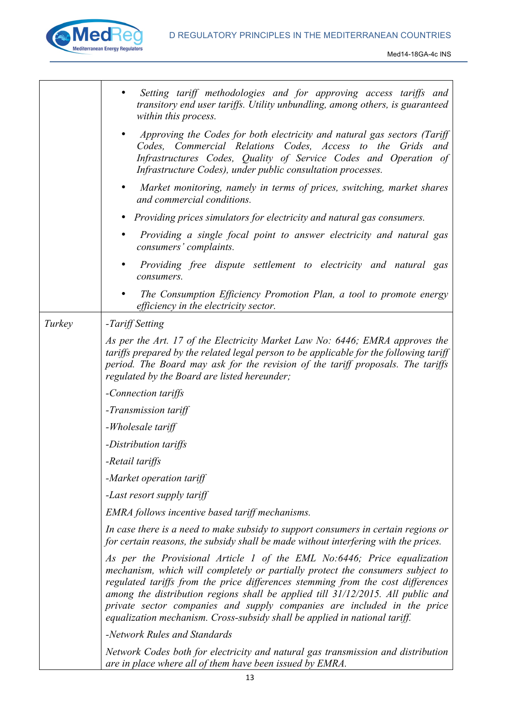

I

|        | Setting tariff methodologies and for approving access tariffs and<br>transitory end user tariffs. Utility unbundling, among others, is guaranteed<br>within this process.                                                                                                                                                                                                                                                                                                                |
|--------|------------------------------------------------------------------------------------------------------------------------------------------------------------------------------------------------------------------------------------------------------------------------------------------------------------------------------------------------------------------------------------------------------------------------------------------------------------------------------------------|
|        | Approving the Codes for both electricity and natural gas sectors (Tariff<br>Codes, Commercial Relations Codes, Access to the Grids and<br>Infrastructures Codes, Quality of Service Codes and Operation of<br>Infrastructure Codes), under public consultation processes.                                                                                                                                                                                                                |
|        | Market monitoring, namely in terms of prices, switching, market shares<br>and commercial conditions.                                                                                                                                                                                                                                                                                                                                                                                     |
|        | • Providing prices simulators for electricity and natural gas consumers.                                                                                                                                                                                                                                                                                                                                                                                                                 |
|        | Providing a single focal point to answer electricity and natural gas<br>consumers' complaints.                                                                                                                                                                                                                                                                                                                                                                                           |
|        | Providing free dispute settlement to electricity and natural gas<br>consumers.                                                                                                                                                                                                                                                                                                                                                                                                           |
|        | The Consumption Efficiency Promotion Plan, a tool to promote energy<br>efficiency in the electricity sector.                                                                                                                                                                                                                                                                                                                                                                             |
| Turkey | -Tariff Setting                                                                                                                                                                                                                                                                                                                                                                                                                                                                          |
|        | As per the Art. 17 of the Electricity Market Law No: 6446; EMRA approves the<br>tariffs prepared by the related legal person to be applicable for the following tariff<br>period. The Board may ask for the revision of the tariff proposals. The tariffs<br>regulated by the Board are listed hereunder;                                                                                                                                                                                |
|        | -Connection tariffs                                                                                                                                                                                                                                                                                                                                                                                                                                                                      |
|        | -Transmission tariff                                                                                                                                                                                                                                                                                                                                                                                                                                                                     |
|        | -Wholesale tariff                                                                                                                                                                                                                                                                                                                                                                                                                                                                        |
|        | -Distribution tariffs                                                                                                                                                                                                                                                                                                                                                                                                                                                                    |
|        | -Retail tariffs                                                                                                                                                                                                                                                                                                                                                                                                                                                                          |
|        | -Market operation tariff                                                                                                                                                                                                                                                                                                                                                                                                                                                                 |
|        | -Last resort supply tariff                                                                                                                                                                                                                                                                                                                                                                                                                                                               |
|        | EMRA follows incentive based tariff mechanisms.                                                                                                                                                                                                                                                                                                                                                                                                                                          |
|        | In case there is a need to make subsidy to support consumers in certain regions or<br>for certain reasons, the subsidy shall be made without interfering with the prices.                                                                                                                                                                                                                                                                                                                |
|        | As per the Provisional Article 1 of the EML No:6446; Price equalization<br>mechanism, which will completely or partially protect the consumers subject to<br>regulated tariffs from the price differences stemming from the cost differences<br>among the distribution regions shall be applied till 31/12/2015. All public and<br>private sector companies and supply companies are included in the price<br>equalization mechanism. Cross-subsidy shall be applied in national tariff. |
|        | -Network Rules and Standards                                                                                                                                                                                                                                                                                                                                                                                                                                                             |
|        | Network Codes both for electricity and natural gas transmission and distribution<br>are in place where all of them have been issued by EMRA.                                                                                                                                                                                                                                                                                                                                             |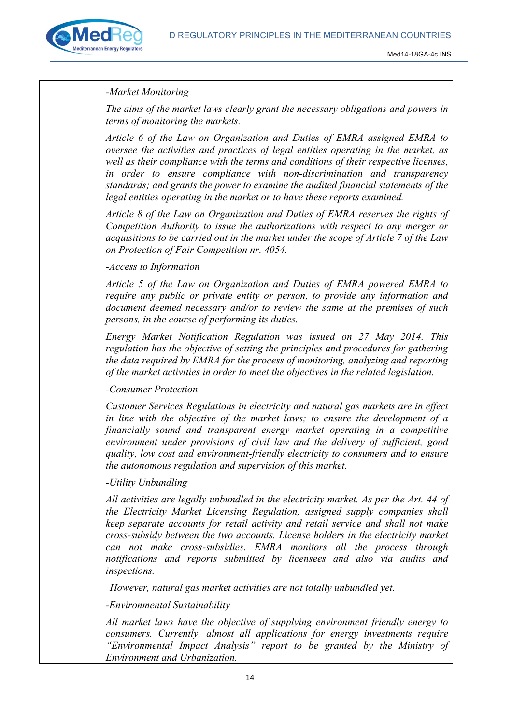

#### *-Market Monitoring*

*The aims of the market laws clearly grant the necessary obligations and powers in terms of monitoring the markets.* 

*Article 6 of the Law on Organization and Duties of EMRA assigned EMRA to oversee the activities and practices of legal entities operating in the market, as well as their compliance with the terms and conditions of their respective licenses, in order to ensure compliance with non-discrimination and transparency standards; and grants the power to examine the audited financial statements of the legal entities operating in the market or to have these reports examined.* 

*Article 8 of the Law on Organization and Duties of EMRA reserves the rights of Competition Authority to issue the authorizations with respect to any merger or acquisitions to be carried out in the market under the scope of Article 7 of the Law on Protection of Fair Competition nr. 4054.*

*-Access to Information*

*Article 5 of the Law on Organization and Duties of EMRA powered EMRA to require any public or private entity or person, to provide any information and document deemed necessary and/or to review the same at the premises of such persons, in the course of performing its duties.* 

*Energy Market Notification Regulation was issued on 27 May 2014. This regulation has the objective of setting the principles and procedures for gathering the data required by EMRA for the process of monitoring, analyzing and reporting of the market activities in order to meet the objectives in the related legislation.* 

#### *-Consumer Protection*

*Customer Services Regulations in electricity and natural gas markets are in effect in line with the objective of the market laws; to ensure the development of a financially sound and transparent energy market operating in a competitive environment under provisions of civil law and the delivery of sufficient, good quality, low cost and environment-friendly electricity to consumers and to ensure the autonomous regulation and supervision of this market.*

#### *-Utility Unbundling*

*All activities are legally unbundled in the electricity market. As per the Art. 44 of the Electricity Market Licensing Regulation, assigned supply companies shall keep separate accounts for retail activity and retail service and shall not make cross-subsidy between the two accounts. License holders in the electricity market can not make cross-subsidies. EMRA monitors all the process through notifications and reports submitted by licensees and also via audits and inspections.* 

*However, natural gas market activities are not totally unbundled yet.* 

*-Environmental Sustainability*

*All market laws have the objective of supplying environment friendly energy to consumers. Currently, almost all applications for energy investments require "Environmental Impact Analysis" report to be granted by the Ministry of Environment and Urbanization.*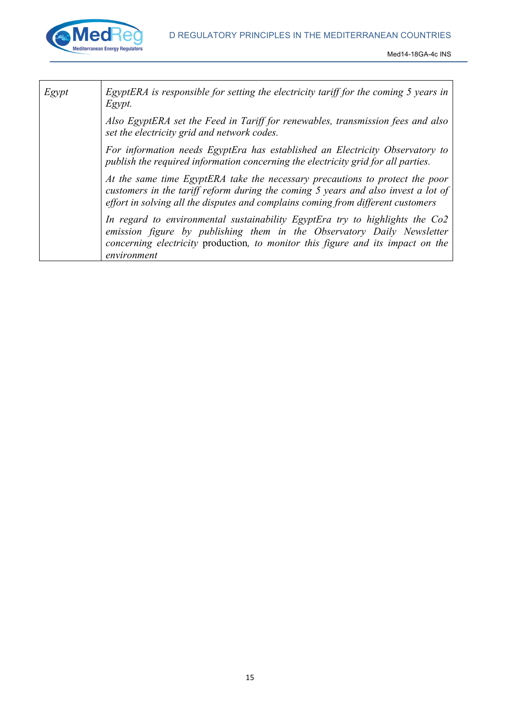



| EgyptERA is responsible for setting the electricity tariff for the coming 5 years in<br>Egypt.                                                                                                                                                           |
|----------------------------------------------------------------------------------------------------------------------------------------------------------------------------------------------------------------------------------------------------------|
| Also EgyptERA set the Feed in Tariff for renewables, transmission fees and also<br>set the electricity grid and network codes.                                                                                                                           |
| For information needs EgyptEra has established an Electricity Observatory to<br>publish the required information concerning the electricity grid for all parties.                                                                                        |
| At the same time EgyptERA take the necessary precautions to protect the poor<br>customers in the tariff reform during the coming 5 years and also invest a lot of<br>effort in solving all the disputes and complains coming from different customers    |
| In regard to environmental sustainability EgyptEra try to highlights the Co2<br>emission figure by publishing them in the Observatory Daily Newsletter<br>concerning electricity production, to monitor this figure and its impact on the<br>environment |
|                                                                                                                                                                                                                                                          |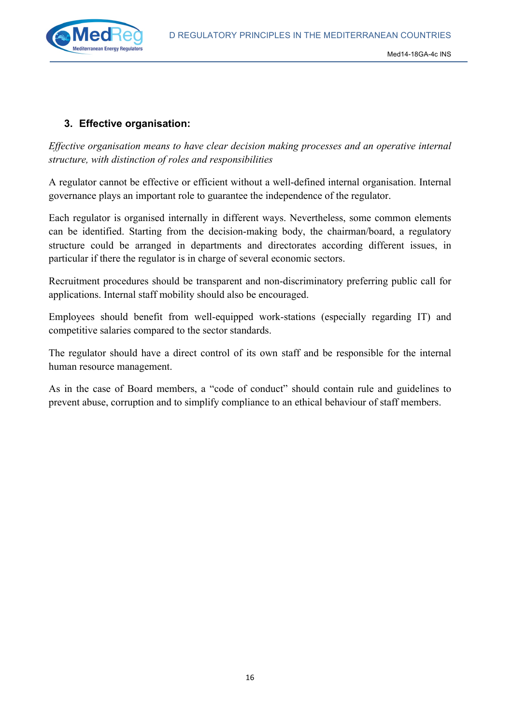D REGULATORY PRINCIPLES IN THE MEDITERRANEAN COUNTRIES



#### **3. Effective organisation:**

*Effective organisation means to have clear decision making processes and an operative internal structure, with distinction of roles and responsibilities*

A regulator cannot be effective or efficient without a well-defined internal organisation. Internal governance plays an important role to guarantee the independence of the regulator.

Each regulator is organised internally in different ways. Nevertheless, some common elements can be identified. Starting from the decision-making body, the chairman/board, a regulatory structure could be arranged in departments and directorates according different issues, in particular if there the regulator is in charge of several economic sectors.

Recruitment procedures should be transparent and non-discriminatory preferring public call for applications. Internal staff mobility should also be encouraged.

Employees should benefit from well-equipped work-stations (especially regarding IT) and competitive salaries compared to the sector standards.

The regulator should have a direct control of its own staff and be responsible for the internal human resource management.

As in the case of Board members, a "code of conduct" should contain rule and guidelines to prevent abuse, corruption and to simplify compliance to an ethical behaviour of staff members.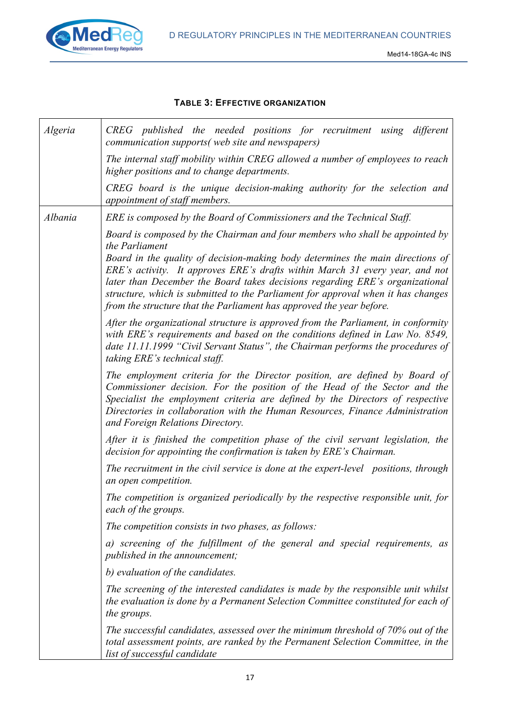

#### **TABLE 3: EFFECTIVE ORGANIZATION**

| Algeria | CREG published the needed positions for recruitment using<br>different<br>communication supports(web site and newspapers)                                                                                                                                                                                                                                                                                                                                                                                    |
|---------|--------------------------------------------------------------------------------------------------------------------------------------------------------------------------------------------------------------------------------------------------------------------------------------------------------------------------------------------------------------------------------------------------------------------------------------------------------------------------------------------------------------|
|         | The internal staff mobility within CREG allowed a number of employees to reach<br>higher positions and to change departments.                                                                                                                                                                                                                                                                                                                                                                                |
|         | CREG board is the unique decision-making authority for the selection and<br>appointment of staff members.                                                                                                                                                                                                                                                                                                                                                                                                    |
| Albania | ERE is composed by the Board of Commissioners and the Technical Staff.                                                                                                                                                                                                                                                                                                                                                                                                                                       |
|         | Board is composed by the Chairman and four members who shall be appointed by<br>the Parliament<br>Board in the quality of decision-making body determines the main directions of<br>ERE's activity. It approves ERE's drafts within March 31 every year, and not<br>later than December the Board takes decisions regarding ERE's organizational<br>structure, which is submitted to the Parliament for approval when it has changes<br>from the structure that the Parliament has approved the year before. |
|         | After the organizational structure is approved from the Parliament, in conformity<br>with ERE's requirements and based on the conditions defined in Law No. 8549,<br>date 11.11.1999 "Civil Servant Status", the Chairman performs the procedures of<br>taking ERE's technical staff.                                                                                                                                                                                                                        |
|         | The employment criteria for the Director position, are defined by Board of<br>Commissioner decision. For the position of the Head of the Sector and the<br>Specialist the employment criteria are defined by the Directors of respective<br>Directories in collaboration with the Human Resources, Finance Administration<br>and Foreign Relations Directory.                                                                                                                                                |
|         | After it is finished the competition phase of the civil servant legislation, the<br>decision for appointing the confirmation is taken by ERE's Chairman.                                                                                                                                                                                                                                                                                                                                                     |
|         | The recruitment in the civil service is done at the expert-level positions, through<br>an open competition.                                                                                                                                                                                                                                                                                                                                                                                                  |
|         | The competition is organized periodically by the respective responsible unit, for<br>each of the groups.                                                                                                                                                                                                                                                                                                                                                                                                     |
|         | The competition consists in two phases, as follows:                                                                                                                                                                                                                                                                                                                                                                                                                                                          |
|         | a) screening of the fulfillment of the general and special requirements, as<br><i>published in the announcement;</i>                                                                                                                                                                                                                                                                                                                                                                                         |
|         | b) evaluation of the candidates.                                                                                                                                                                                                                                                                                                                                                                                                                                                                             |
|         | The screening of the interested candidates is made by the responsible unit whilst<br>the evaluation is done by a Permanent Selection Committee constituted for each of<br>the groups.                                                                                                                                                                                                                                                                                                                        |
|         | The successful candidates, assessed over the minimum threshold of 70% out of the<br>total assessment points, are ranked by the Permanent Selection Committee, in the<br>list of successful candidate                                                                                                                                                                                                                                                                                                         |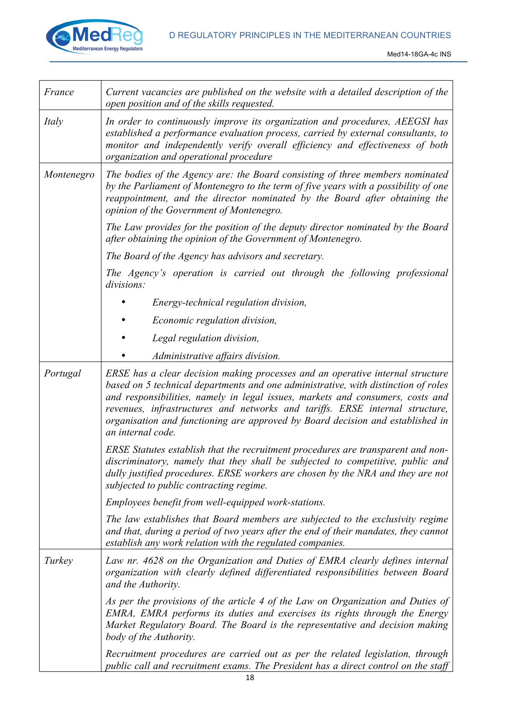#### D REGULATORY PRINCIPLES IN THE MEDITERRANEAN COUNTRIES



| France     | Current vacancies are published on the website with a detailed description of the<br>open position and of the skills requested.                                                                                                                                                                                                                                                                                                               |
|------------|-----------------------------------------------------------------------------------------------------------------------------------------------------------------------------------------------------------------------------------------------------------------------------------------------------------------------------------------------------------------------------------------------------------------------------------------------|
| Italy      | In order to continuously improve its organization and procedures, AEEGSI has<br>established a performance evaluation process, carried by external consultants, to<br>monitor and independently verify overall efficiency and effectiveness of both<br>organization and operational procedure                                                                                                                                                  |
| Montenegro | The bodies of the Agency are: the Board consisting of three members nominated<br>by the Parliament of Montenegro to the term of five years with a possibility of one<br>reappointment, and the director nominated by the Board after obtaining the<br>opinion of the Government of Montenegro.                                                                                                                                                |
|            | The Law provides for the position of the deputy director nominated by the Board<br>after obtaining the opinion of the Government of Montenegro.                                                                                                                                                                                                                                                                                               |
|            | The Board of the Agency has advisors and secretary.                                                                                                                                                                                                                                                                                                                                                                                           |
|            | The Agency's operation is carried out through the following professional<br>divisions:                                                                                                                                                                                                                                                                                                                                                        |
|            | Energy-technical regulation division,                                                                                                                                                                                                                                                                                                                                                                                                         |
|            | Economic regulation division,                                                                                                                                                                                                                                                                                                                                                                                                                 |
|            | Legal regulation division,                                                                                                                                                                                                                                                                                                                                                                                                                    |
|            | Administrative affairs division.                                                                                                                                                                                                                                                                                                                                                                                                              |
| Portugal   | ERSE has a clear decision making processes and an operative internal structure<br>based on 5 technical departments and one administrative, with distinction of roles<br>and responsibilities, namely in legal issues, markets and consumers, costs and<br>revenues, infrastructures and networks and tariffs. ERSE internal structure,<br>organisation and functioning are approved by Board decision and established in<br>an internal code. |
|            | ERSE Statutes establish that the recruitment procedures are transparent and non-<br>discriminatory, namely that they shall be subjected to competitive, public and<br>dully justified procedures. ERSE workers are chosen by the NRA and they are not<br>subjected to public contracting regime.                                                                                                                                              |
|            | Employees benefit from well-equipped work-stations.                                                                                                                                                                                                                                                                                                                                                                                           |
|            | The law establishes that Board members are subjected to the exclusivity regime<br>and that, during a period of two years after the end of their mandates, they cannot<br>establish any work relation with the regulated companies.                                                                                                                                                                                                            |
| Turkey     | Law nr. 4628 on the Organization and Duties of EMRA clearly defines internal<br>organization with clearly defined differentiated responsibilities between Board<br>and the Authority.                                                                                                                                                                                                                                                         |
|            | As per the provisions of the article 4 of the Law on Organization and Duties of<br>EMRA, EMRA performs its duties and exercises its rights through the Energy<br>Market Regulatory Board. The Board is the representative and decision making<br>body of the Authority.                                                                                                                                                                       |
|            | Recruitment procedures are carried out as per the related legislation, through<br>public call and recruitment exams. The President has a direct control on the staff                                                                                                                                                                                                                                                                          |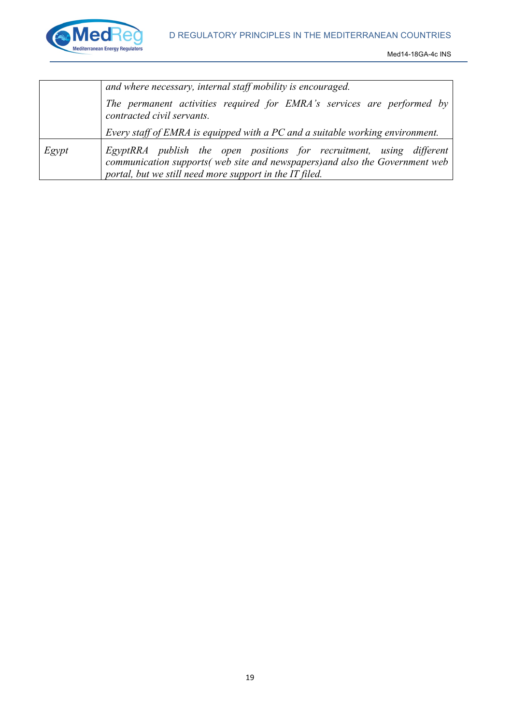

|       | and where necessary, internal staff mobility is encouraged.                                                                                                                                                     |
|-------|-----------------------------------------------------------------------------------------------------------------------------------------------------------------------------------------------------------------|
|       | The permanent activities required for EMRA's services are performed by<br>contracted civil servants.                                                                                                            |
|       | Every staff of EMRA is equipped with a PC and a suitable working environment.                                                                                                                                   |
| Egypt | EgyptRRA publish the open positions for recruitment, using different<br>communication supports (web site and newspapers) and also the Government web<br>portal, but we still need more support in the IT filed. |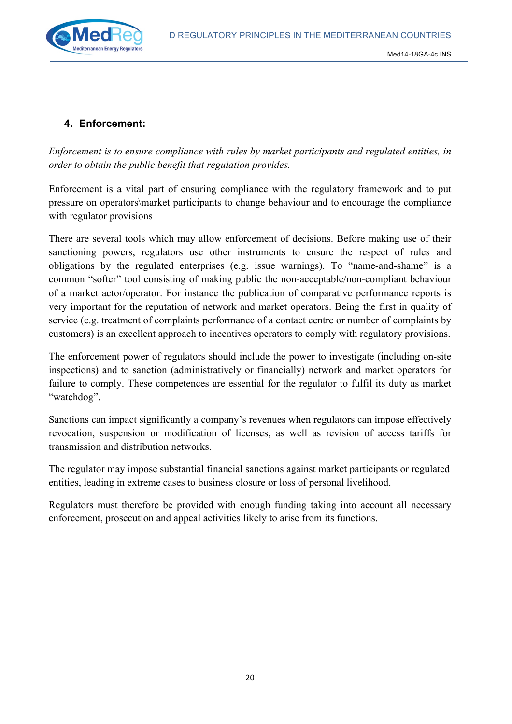D REGULATORY PRINCIPLES IN THE MEDITERRANEAN COUNTRIES



#### **4. Enforcement:**

*Enforcement is to ensure compliance with rules by market participants and regulated entities, in order to obtain the public benefit that regulation provides.*

Enforcement is a vital part of ensuring compliance with the regulatory framework and to put pressure on operators\market participants to change behaviour and to encourage the compliance with regulator provisions

There are several tools which may allow enforcement of decisions. Before making use of their sanctioning powers, regulators use other instruments to ensure the respect of rules and obligations by the regulated enterprises (e.g. issue warnings). To "name-and-shame" is a common "softer" tool consisting of making public the non-acceptable/non-compliant behaviour of a market actor/operator. For instance the publication of comparative performance reports is very important for the reputation of network and market operators. Being the first in quality of service (e.g. treatment of complaints performance of a contact centre or number of complaints by customers) is an excellent approach to incentives operators to comply with regulatory provisions.

The enforcement power of regulators should include the power to investigate (including on-site inspections) and to sanction (administratively or financially) network and market operators for failure to comply. These competences are essential for the regulator to fulfil its duty as market "watchdog".

Sanctions can impact significantly a company's revenues when regulators can impose effectively revocation, suspension or modification of licenses, as well as revision of access tariffs for transmission and distribution networks.

The regulator may impose substantial financial sanctions against market participants or regulated entities, leading in extreme cases to business closure or loss of personal livelihood.

Regulators must therefore be provided with enough funding taking into account all necessary enforcement, prosecution and appeal activities likely to arise from its functions.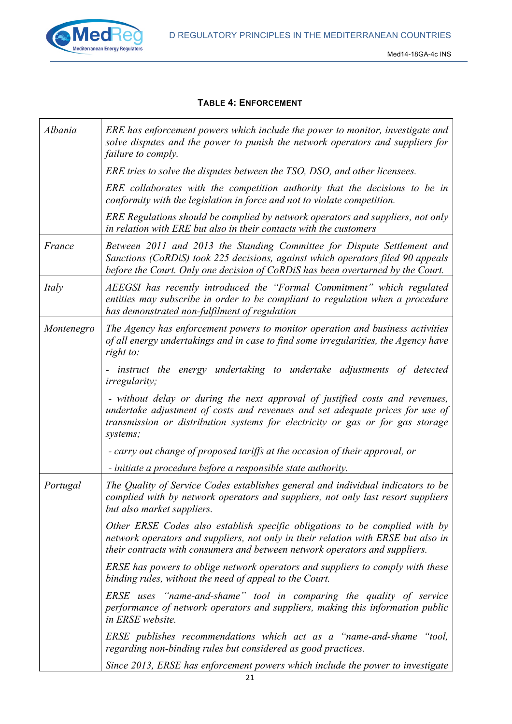

#### **TABLE 4: ENFORCEMENT**

| Albania    | ERE has enforcement powers which include the power to monitor, investigate and<br>solve disputes and the power to punish the network operators and suppliers for<br>failure to comply.                                                                      |
|------------|-------------------------------------------------------------------------------------------------------------------------------------------------------------------------------------------------------------------------------------------------------------|
|            | ERE tries to solve the disputes between the TSO, DSO, and other licensees.                                                                                                                                                                                  |
|            | ERE collaborates with the competition authority that the decisions to be in<br>conformity with the legislation in force and not to violate competition.                                                                                                     |
|            | ERE Regulations should be complied by network operators and suppliers, not only<br>in relation with ERE but also in their contacts with the customers                                                                                                       |
| France     | Between 2011 and 2013 the Standing Committee for Dispute Settlement and<br>Sanctions (CoRDiS) took 225 decisions, against which operators filed 90 appeals<br>before the Court. Only one decision of CoRDiS has been overturned by the Court.               |
| Italy      | AEEGSI has recently introduced the "Formal Commitment" which regulated<br>entities may subscribe in order to be compliant to regulation when a procedure<br>has demonstrated non-fulfilment of regulation                                                   |
| Montenegro | The Agency has enforcement powers to monitor operation and business activities<br>of all energy undertakings and in case to find some irregularities, the Agency have<br>right to:                                                                          |
|            | instruct the energy undertaking to undertake adjustments of detected<br><i>irregularity;</i>                                                                                                                                                                |
|            | - without delay or during the next approval of justified costs and revenues,<br>undertake adjustment of costs and revenues and set adequate prices for use of<br>transmission or distribution systems for electricity or gas or for gas storage<br>systems; |
|            | - carry out change of proposed tariffs at the occasion of their approval, or                                                                                                                                                                                |
|            | - initiate a procedure before a responsible state authority.                                                                                                                                                                                                |
| Portugal   | The Quality of Service Codes establishes general and individual indicators to be<br>complied with by network operators and suppliers, not only last resort suppliers<br>but also market suppliers.                                                          |
|            | Other ERSE Codes also establish specific obligations to be complied with by<br>network operators and suppliers, not only in their relation with ERSE but also in<br>their contracts with consumers and between network operators and suppliers.             |
|            | ERSE has powers to oblige network operators and suppliers to comply with these<br>binding rules, without the need of appeal to the Court.                                                                                                                   |
|            | ERSE uses "name-and-shame" tool in comparing the quality of service<br>performance of network operators and suppliers, making this information public<br>in ERSE website.                                                                                   |
|            | ERSE publishes recommendations which act as a "name-and-shame "tool,<br>regarding non-binding rules but considered as good practices.                                                                                                                       |
|            | Since 2013, ERSE has enforcement powers which include the power to investigate                                                                                                                                                                              |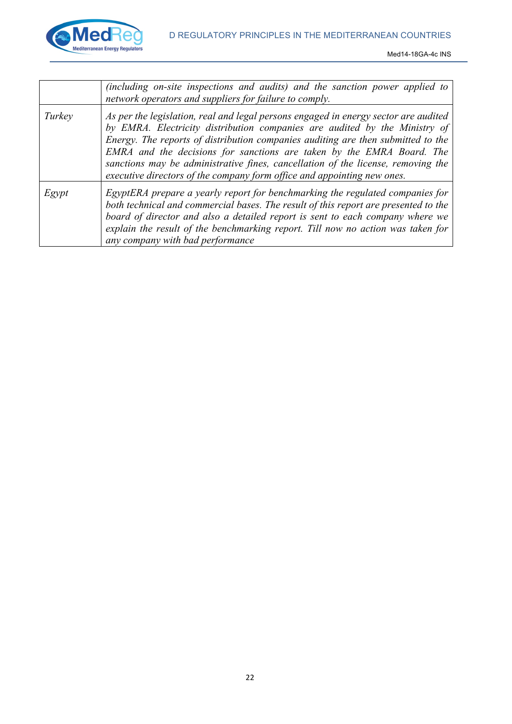

|        | (including on-site inspections and audits) and the sanction power applied to<br>network operators and suppliers for failure to comply.                                                                                                                                                                                                                                                                                                                                                        |
|--------|-----------------------------------------------------------------------------------------------------------------------------------------------------------------------------------------------------------------------------------------------------------------------------------------------------------------------------------------------------------------------------------------------------------------------------------------------------------------------------------------------|
| Turkey | As per the legislation, real and legal persons engaged in energy sector are audited<br>by EMRA. Electricity distribution companies are audited by the Ministry of<br>Energy. The reports of distribution companies auditing are then submitted to the<br>EMRA and the decisions for sanctions are taken by the EMRA Board. The<br>sanctions may be administrative fines, cancellation of the license, removing the<br>executive directors of the company form office and appointing new ones. |
| Egypt  | EgyptERA prepare a yearly report for benchmarking the regulated companies for<br>both technical and commercial bases. The result of this report are presented to the<br>board of director and also a detailed report is sent to each company where we<br>explain the result of the benchmarking report. Till now no action was taken for<br>any company with bad performance                                                                                                                  |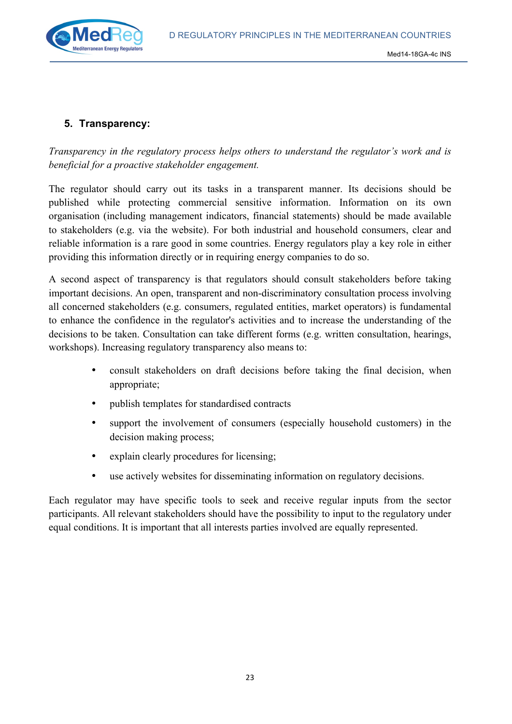D REGULATORY PRINCIPLES IN THE MEDITERRANEAN COUNTRIES



#### **5. Transparency:**

*Transparency in the regulatory process helps others to understand the regulator's work and is beneficial for a proactive stakeholder engagement.*

The regulator should carry out its tasks in a transparent manner. Its decisions should be published while protecting commercial sensitive information. Information on its own organisation (including management indicators, financial statements) should be made available to stakeholders (e.g. via the website). For both industrial and household consumers, clear and reliable information is a rare good in some countries. Energy regulators play a key role in either providing this information directly or in requiring energy companies to do so.

A second aspect of transparency is that regulators should consult stakeholders before taking important decisions. An open, transparent and non-discriminatory consultation process involving all concerned stakeholders (e.g. consumers, regulated entities, market operators) is fundamental to enhance the confidence in the regulator's activities and to increase the understanding of the decisions to be taken. Consultation can take different forms (e.g. written consultation, hearings, workshops). Increasing regulatory transparency also means to:

- consult stakeholders on draft decisions before taking the final decision, when appropriate;
- publish templates for standardised contracts
- support the involvement of consumers (especially household customers) in the decision making process;
- explain clearly procedures for licensing;
- use actively websites for disseminating information on regulatory decisions.

Each regulator may have specific tools to seek and receive regular inputs from the sector participants. All relevant stakeholders should have the possibility to input to the regulatory under equal conditions. It is important that all interests parties involved are equally represented.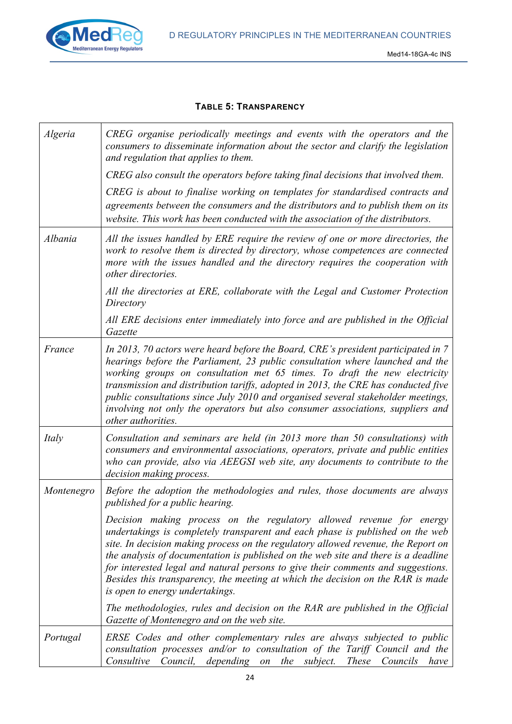

#### **TABLE 5: TRANSPARENCY**

| Algeria    | CREG organise periodically meetings and events with the operators and the<br>consumers to disseminate information about the sector and clarify the legislation<br>and regulation that applies to them.                                                                                                                                                                                                                                                                                                                                     |
|------------|--------------------------------------------------------------------------------------------------------------------------------------------------------------------------------------------------------------------------------------------------------------------------------------------------------------------------------------------------------------------------------------------------------------------------------------------------------------------------------------------------------------------------------------------|
|            | CREG also consult the operators before taking final decisions that involved them.                                                                                                                                                                                                                                                                                                                                                                                                                                                          |
|            | CREG is about to finalise working on templates for standardised contracts and<br>agreements between the consumers and the distributors and to publish them on its<br>website. This work has been conducted with the association of the distributors.                                                                                                                                                                                                                                                                                       |
| Albania    | All the issues handled by ERE require the review of one or more directories, the<br>work to resolve them is directed by directory, whose competences are connected<br>more with the issues handled and the directory requires the cooperation with<br>other directories.                                                                                                                                                                                                                                                                   |
|            | All the directories at ERE, collaborate with the Legal and Customer Protection<br>Directory                                                                                                                                                                                                                                                                                                                                                                                                                                                |
|            | All ERE decisions enter immediately into force and are published in the Official<br>Gazette                                                                                                                                                                                                                                                                                                                                                                                                                                                |
| France     | In 2013, 70 actors were heard before the Board, CRE's president participated in 7<br>hearings before the Parliament, 23 public consultation where launched and the<br>working groups on consultation met 65 times. To draft the new electricity<br>transmission and distribution tariffs, adopted in 2013, the CRE has conducted five<br>public consultations since July 2010 and organised several stakeholder meetings,<br>involving not only the operators but also consumer associations, suppliers and<br>other authorities.          |
| Italy      | Consultation and seminars are held (in 2013 more than 50 consultations) with<br>consumers and environmental associations, operators, private and public entities<br>who can provide, also via AEEGSI web site, any documents to contribute to the<br>decision making process.                                                                                                                                                                                                                                                              |
| Montenegro | Before the adoption the methodologies and rules, those documents are always<br>published for a public hearing.                                                                                                                                                                                                                                                                                                                                                                                                                             |
|            | Decision making process on the regulatory allowed revenue for energy<br>undertakings is completely transparent and each phase is published on the web<br>site. In decision making process on the regulatory allowed revenue, the Report on<br>the analysis of documentation is published on the web site and there is a deadline<br>for interested legal and natural persons to give their comments and suggestions.<br>Besides this transparency, the meeting at which the decision on the RAR is made<br>is open to energy undertakings. |
|            | The methodologies, rules and decision on the RAR are published in the Official<br>Gazette of Montenegro and on the web site.                                                                                                                                                                                                                                                                                                                                                                                                               |
| Portugal   | ERSE Codes and other complementary rules are always subjected to public<br>consultation processes and/or to consultation of the Tariff Council and the<br>Consultive<br>Council, depending on the subject.<br><i>These</i><br>Councils<br>have                                                                                                                                                                                                                                                                                             |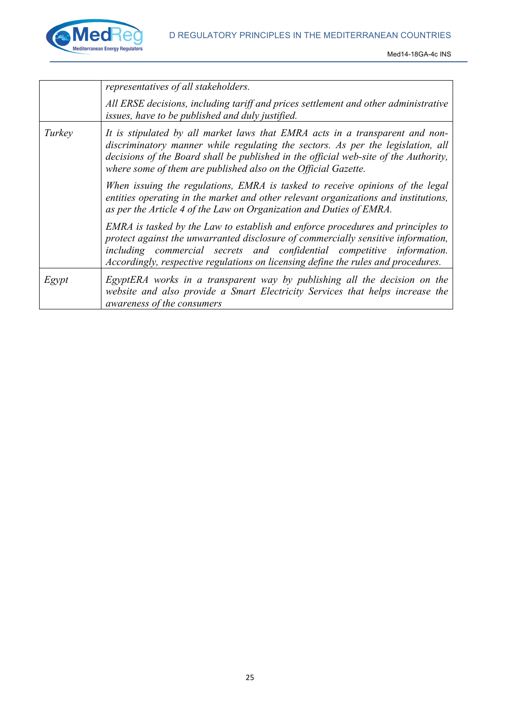

|        | representatives of all stakeholders.                                                                                                                                                                                                                                                                                                |
|--------|-------------------------------------------------------------------------------------------------------------------------------------------------------------------------------------------------------------------------------------------------------------------------------------------------------------------------------------|
|        | All ERSE decisions, including tariff and prices settlement and other administrative<br>issues, have to be published and duly justified.                                                                                                                                                                                             |
| Turkey | It is stipulated by all market laws that EMRA acts in a transparent and non-<br>discriminatory manner while regulating the sectors. As per the legislation, all<br>decisions of the Board shall be published in the official web-site of the Authority,<br>where some of them are published also on the Official Gazette.           |
|        | When issuing the regulations, EMRA is tasked to receive opinions of the legal<br>entities operating in the market and other relevant organizations and institutions,<br>as per the Article 4 of the Law on Organization and Duties of EMRA.                                                                                         |
|        | EMRA is tasked by the Law to establish and enforce procedures and principles to<br>protect against the unwarranted disclosure of commercially sensitive information,<br>including commercial secrets and confidential competitive information.<br>Accordingly, respective regulations on licensing define the rules and procedures. |
| Egypt  | EgyptERA works in a transparent way by publishing all the decision on the<br>website and also provide a Smart Electricity Services that helps increase the<br><i>awareness of the consumers</i>                                                                                                                                     |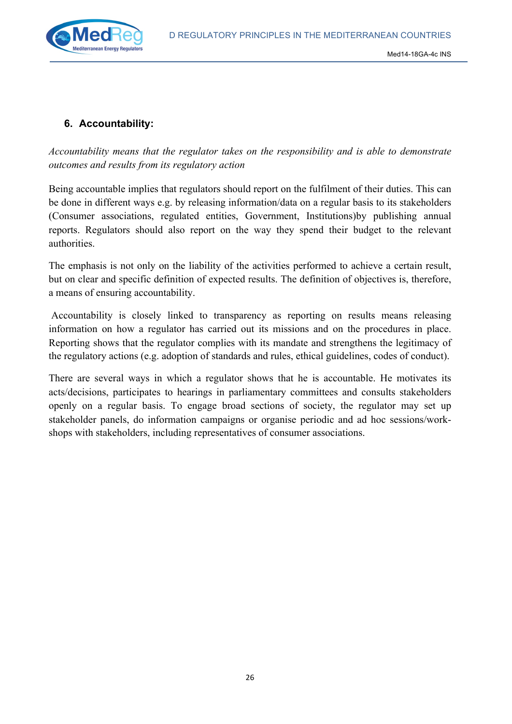D REGULATORY PRINCIPLES IN THE MEDITERRANEAN COUNTRIES



#### **6. Accountability:**

*Accountability means that the regulator takes on the responsibility and is able to demonstrate outcomes and results from its regulatory action*

Being accountable implies that regulators should report on the fulfilment of their duties. This can be done in different ways e.g. by releasing information/data on a regular basis to its stakeholders (Consumer associations, regulated entities, Government, Institutions)by publishing annual reports. Regulators should also report on the way they spend their budget to the relevant authorities.

The emphasis is not only on the liability of the activities performed to achieve a certain result, but on clear and specific definition of expected results. The definition of objectives is, therefore, a means of ensuring accountability.

Accountability is closely linked to transparency as reporting on results means releasing information on how a regulator has carried out its missions and on the procedures in place. Reporting shows that the regulator complies with its mandate and strengthens the legitimacy of the regulatory actions (e.g. adoption of standards and rules, ethical guidelines, codes of conduct).

There are several ways in which a regulator shows that he is accountable. He motivates its acts/decisions, participates to hearings in parliamentary committees and consults stakeholders openly on a regular basis. To engage broad sections of society, the regulator may set up stakeholder panels, do information campaigns or organise periodic and ad hoc sessions/workshops with stakeholders, including representatives of consumer associations.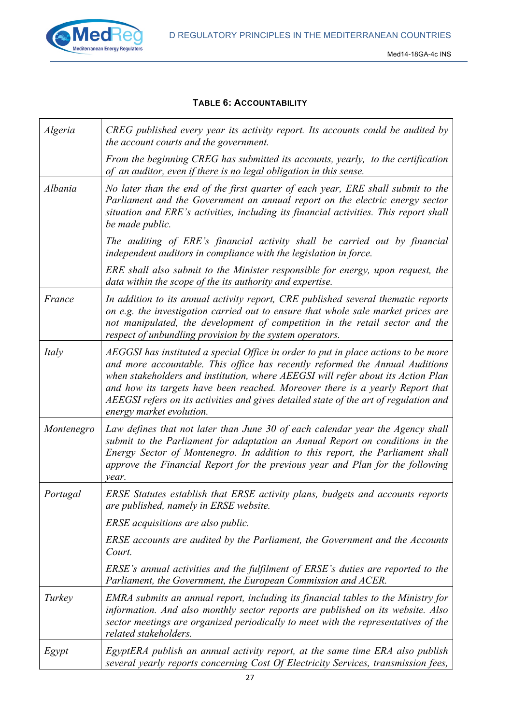

#### **TABLE 6: ACCOUNTABILITY**

| Algeria    | CREG published every year its activity report. Its accounts could be audited by<br>the account courts and the government.                                                                                                                                                                                                                                                                                                                                    |
|------------|--------------------------------------------------------------------------------------------------------------------------------------------------------------------------------------------------------------------------------------------------------------------------------------------------------------------------------------------------------------------------------------------------------------------------------------------------------------|
|            | From the beginning CREG has submitted its accounts, yearly, to the certification<br>of an auditor, even if there is no legal obligation in this sense.                                                                                                                                                                                                                                                                                                       |
| Albania    | No later than the end of the first quarter of each year, ERE shall submit to the<br>Parliament and the Government an annual report on the electric energy sector<br>situation and ERE's activities, including its financial activities. This report shall<br>be made public.                                                                                                                                                                                 |
|            | The auditing of ERE's financial activity shall be carried out by financial<br>independent auditors in compliance with the legislation in force.                                                                                                                                                                                                                                                                                                              |
|            | ERE shall also submit to the Minister responsible for energy, upon request, the<br>data within the scope of the its authority and expertise.                                                                                                                                                                                                                                                                                                                 |
| France     | In addition to its annual activity report, CRE published several thematic reports<br>on e.g. the investigation carried out to ensure that whole sale market prices are<br>not manipulated, the development of competition in the retail sector and the<br>respect of unbundling provision by the system operators.                                                                                                                                           |
| Italy      | AEGGSI has instituted a special Office in order to put in place actions to be more<br>and more accountable. This office has recently reformed the Annual Auditions<br>when stakeholders and institution, where AEEGSI will refer about its Action Plan<br>and how its targets have been reached. Moreover there is a yearly Report that<br>AEEGSI refers on its activities and gives detailed state of the art of regulation and<br>energy market evolution. |
| Montenegro | Law defines that not later than June 30 of each calendar year the Agency shall<br>submit to the Parliament for adaptation an Annual Report on conditions in the<br>Energy Sector of Montenegro. In addition to this report, the Parliament shall<br>approve the Financial Report for the previous year and Plan for the following<br>year.                                                                                                                   |
| Portugal   | ERSE Statutes establish that ERSE activity plans, budgets and accounts reports<br>are published, namely in ERSE website.                                                                                                                                                                                                                                                                                                                                     |
|            | ERSE acquisitions are also public.                                                                                                                                                                                                                                                                                                                                                                                                                           |
|            | ERSE accounts are audited by the Parliament, the Government and the Accounts<br>Court.                                                                                                                                                                                                                                                                                                                                                                       |
|            | ERSE's annual activities and the fulfilment of ERSE's duties are reported to the<br>Parliament, the Government, the European Commission and ACER.                                                                                                                                                                                                                                                                                                            |
| Turkey     | EMRA submits an annual report, including its financial tables to the Ministry for<br>information. And also monthly sector reports are published on its website. Also<br>sector meetings are organized periodically to meet with the representatives of the<br>related stakeholders.                                                                                                                                                                          |
| Egypt      | EgyptERA publish an annual activity report, at the same time ERA also publish<br>several yearly reports concerning Cost Of Electricity Services, transmission fees,                                                                                                                                                                                                                                                                                          |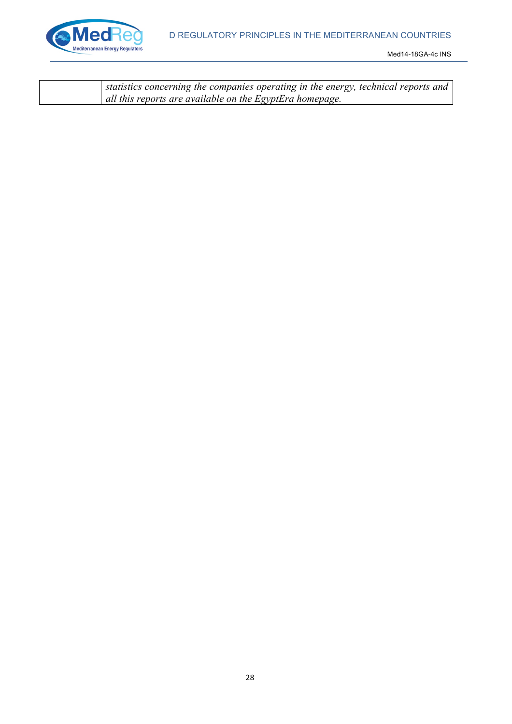

| statistics concerning the companies operating in the energy, technical reports and |
|------------------------------------------------------------------------------------|
| all this reports are available on the EgyptEra homepage.                           |